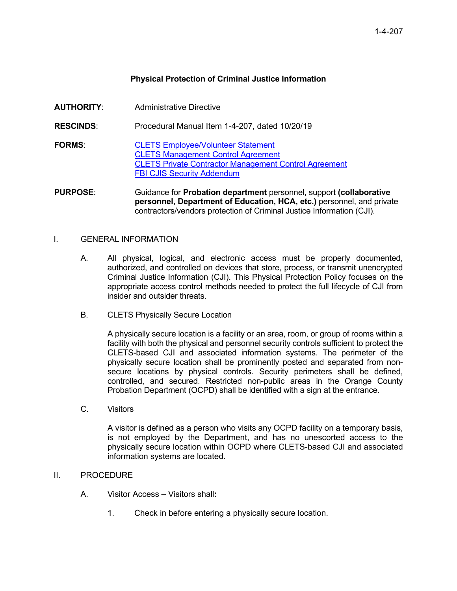# **Physical Protection of Criminal Justice Information**

**AUTHORITY**: Administrative Directive **RESCINDS**: Procedural Manual Item 1-4-207, dated 10/20/19 **FORMS**: [CLETS Employee/Volunteer Statement](https://portal.prob.ocgoventerprise.com/Download/ProbNet/Forms_908/CLETS_EmployeeVolunteerStatementForm.pdf) CLETS [Management Control Agreement](https://portal.prob.ocgoventerprise.com/Download/ProbNet/Forms_908/CLETS_Mangement_Control_Agreement_-_HDC_0004A_-_Rev_3-2010.pdf) [CLETS Private Contractor Management Control Agreement](https://portal.prob.ocgoventerprise.com/Download/ProbNet/Forms_908/CLETS_Private_Contractor_Management_Control_Agreement_HDC0004B.pdf) [FBI CJIS Security Addendum](https://portal.prob.ocgoventerprise.com/Download/ProbNet/Forms_908/FBI_CJIS_Addendum.pdf) **PURPOSE**: Guidance for **Probation department** personnel, support **(collaborative** 

**personnel, Department of Education, HCA, etc.)** personnel, and private contractors/vendors protection of Criminal Justice Information (CJI).

#### I. GENERAL INFORMATION

- A. All physical, logical, and electronic access must be properly documented, authorized, and controlled on devices that store, process, or transmit unencrypted Criminal Justice Information (CJI). This Physical Protection Policy focuses on the appropriate access control methods needed to protect the full lifecycle of CJI from insider and outsider threats.
- B. CLETS Physically Secure Location

A physically secure location is a facility or an area, room, or group of rooms within a facility with both the physical and personnel security controls sufficient to protect the CLETS-based CJI and associated information systems. The perimeter of the physically secure location shall be prominently posted and separated from nonsecure locations by physical controls. Security perimeters shall be defined, controlled, and secured. Restricted non-public areas in the Orange County Probation Department (OCPD) shall be identified with a sign at the entrance.

C. Visitors

A visitor is defined as a person who visits any OCPD facility on a temporary basis, is not employed by the Department, and has no unescorted access to the physically secure location within OCPD where CLETS-based CJI and associated information systems are located.

#### II. PROCEDURE

- A. Visitor Access **–** Visitors shall**:**
	- 1. Check in before entering a physically secure location.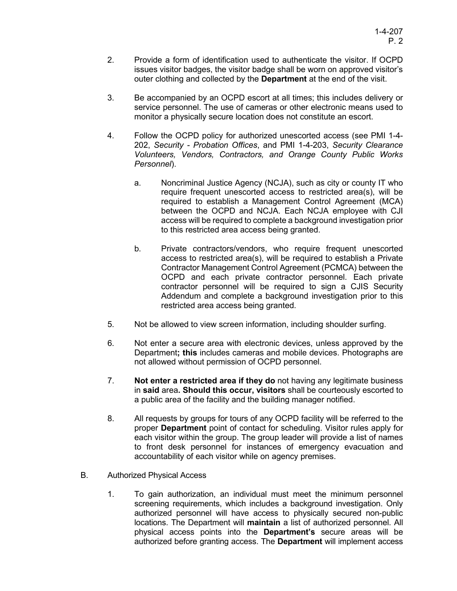- 2. Provide a form of identification used to authenticate the visitor. If OCPD issues visitor badges, the visitor badge shall be worn on approved visitor's outer clothing and collected by the **Department** at the end of the visit.
- 3. Be accompanied by an OCPD escort at all times; this includes delivery or service personnel. The use of cameras or other electronic means used to monitor a physically secure location does not constitute an escort.
- 4. Follow the OCPD policy for authorized unescorted access (see PMI 1-4- 202, *Security - Probation Offices*, and PMI 1-4-203, *Security Clearance Volunteers, Vendors, Contractors, and Orange County Public Works Personnel*).
	- a. Noncriminal Justice Agency (NCJA), such as city or county IT who require frequent unescorted access to restricted area(s), will be required to establish a Management Control Agreement (MCA) between the OCPD and NCJA. Each NCJA employee with CJI access will be required to complete a background investigation prior to this restricted area access being granted.
	- b. Private contractors/vendors, who require frequent unescorted access to restricted area(s), will be required to establish a Private Contractor Management Control Agreement (PCMCA) between the OCPD and each private contractor personnel. Each private contractor personnel will be required to sign a CJIS Security Addendum and complete a background investigation prior to this restricted area access being granted.
- 5. Not be allowed to view screen information, including shoulder surfing.
- 6. Not enter a secure area with electronic devices, unless approved by the Department**; this** includes cameras and mobile devices. Photographs are not allowed without permission of OCPD personnel.
- 7. **Not enter a restricted area if they do** not having any legitimate business in **said** area**. Should this occur, visitors** shall be courteously escorted to a public area of the facility and the building manager notified.
- 8. All requests by groups for tours of any OCPD facility will be referred to the proper **Department** point of contact for scheduling. Visitor rules apply for each visitor within the group. The group leader will provide a list of names to front desk personnel for instances of emergency evacuation and accountability of each visitor while on agency premises.
- B. Authorized Physical Access
	- 1. To gain authorization, an individual must meet the minimum personnel screening requirements, which includes a background investigation. Only authorized personnel will have access to physically secured non-public locations. The Department will **maintain** a list of authorized personnel. All physical access points into the **Department's** secure areas will be authorized before granting access. The **Department** will implement access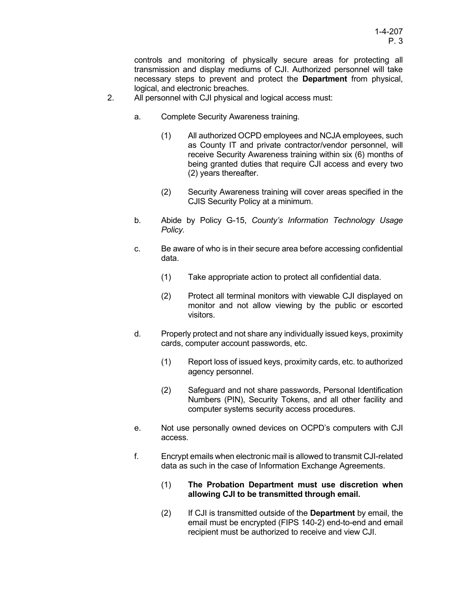controls and monitoring of physically secure areas for protecting all transmission and display mediums of CJI. Authorized personnel will take necessary steps to prevent and protect the **Department** from physical, logical, and electronic breaches.

- 2. All personnel with CJI physical and logical access must:
	- a. Complete Security Awareness training.
		- (1) All authorized OCPD employees and NCJA employees, such as County IT and private contractor/vendor personnel, will receive Security Awareness training within six (6) months of being granted duties that require CJI access and every two (2) years thereafter.
		- (2) Security Awareness training will cover areas specified in the CJIS Security Policy at a minimum.
	- b. Abide by Policy G-15, *County's Information Technology Usage Policy.*
	- c. Be aware of who is in their secure area before accessing confidential data.
		- (1) Take appropriate action to protect all confidential data.
		- (2) Protect all terminal monitors with viewable CJI displayed on monitor and not allow viewing by the public or escorted visitors.
	- d. Properly protect and not share any individually issued keys, proximity cards, computer account passwords, etc.
		- (1) Report loss of issued keys, proximity cards, etc. to authorized agency personnel.
		- (2) Safeguard and not share passwords, Personal Identification Numbers (PIN), Security Tokens, and all other facility and computer systems security access procedures.
	- e. Not use personally owned devices on OCPD's computers with CJI access.
	- f. Encrypt emails when electronic mail is allowed to transmit CJI-related data as such in the case of Information Exchange Agreements.

### (1) **The Probation Department must use discretion when allowing CJI to be transmitted through email.**

(2) If CJI is transmitted outside of the **Department** by email, the email must be encrypted (FIPS 140-2) end-to-end and email recipient must be authorized to receive and view CJI.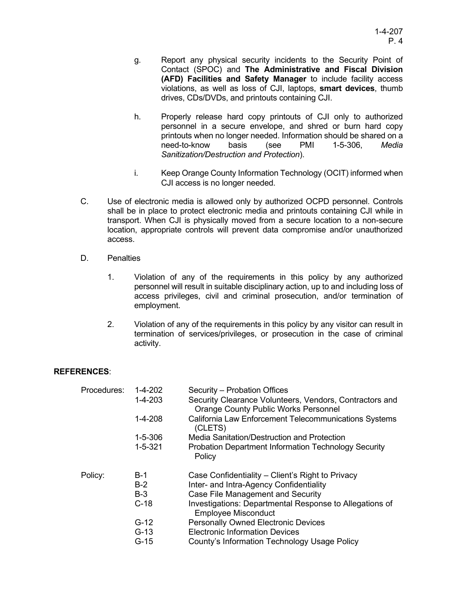- g. Report any physical security incidents to the Security Point of Contact (SPOC) and **The Administrative and Fiscal Division (AFD) Facilities and Safety Manager** to include facility access violations, as well as loss of CJI, laptops, **smart devices**, thumb drives, CDs/DVDs, and printouts containing CJI.
- h. Properly release hard copy printouts of CJI only to authorized personnel in a secure envelope, and shred or burn hard copy printouts when no longer needed. Information should be shared on a need-to-know basis (see PMI 1-5-306, *Media Sanitization/Destruction and Protection*).
- i. Keep Orange County Information Technology (OCIT) informed when CJI access is no longer needed.
- C. Use of electronic media is allowed only by authorized OCPD personnel. Controls shall be in place to protect electronic media and printouts containing CJI while in transport. When CJI is physically moved from a secure location to a non-secure location, appropriate controls will prevent data compromise and/or unauthorized access.
- D. Penalties
	- 1. Violation of any of the requirements in this policy by any authorized personnel will result in suitable disciplinary action, up to and including loss of access privileges, civil and criminal prosecution, and/or termination of employment.
	- 2. Violation of any of the requirements in this policy by any visitor can result in termination of services/privileges, or prosecution in the case of criminal activity.

## **REFERENCES**:

| Procedures: | 1-4-202       | Security - Probation Offices                                                                           |
|-------------|---------------|--------------------------------------------------------------------------------------------------------|
|             | $1 - 4 - 203$ | Security Clearance Volunteers, Vendors, Contractors and<br><b>Orange County Public Works Personnel</b> |
|             |               |                                                                                                        |
|             | $1 - 4 - 208$ | California Law Enforcement Telecommunications Systems<br>(CLETS)                                       |
|             | $1 - 5 - 306$ | Media Sanitation/Destruction and Protection                                                            |
|             | $1 - 5 - 321$ | <b>Probation Department Information Technology Security</b><br>Policy                                  |
| Policy:     | $B-1$         | Case Confidentiality – Client's Right to Privacy                                                       |
|             | $B-2$         | Inter- and Intra-Agency Confidentiality                                                                |
|             | $B-3$         | Case File Management and Security                                                                      |
|             | $C-18$        | Investigations: Departmental Response to Allegations of<br><b>Employee Misconduct</b>                  |
|             | $G-12$        | <b>Personally Owned Electronic Devices</b>                                                             |
|             | $G-13$        | <b>Electronic Information Devices</b>                                                                  |
|             | $G-15$        | County's Information Technology Usage Policy                                                           |